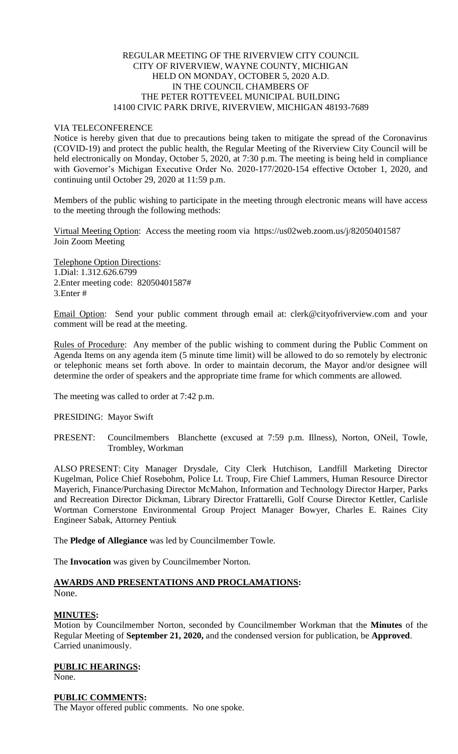# REGULAR MEETING OF THE RIVERVIEW CITY COUNCIL CITY OF RIVERVIEW, WAYNE COUNTY, MICHIGAN HELD ON MONDAY, OCTOBER 5, 2020 A.D. IN THE COUNCIL CHAMBERS OF THE PETER ROTTEVEEL MUNICIPAL BUILDING 14100 CIVIC PARK DRIVE, RIVERVIEW, MICHIGAN 48193-7689

## VIA TELECONFERENCE

Notice is hereby given that due to precautions being taken to mitigate the spread of the Coronavirus (COVID-19) and protect the public health, the Regular Meeting of the Riverview City Council will be held electronically on Monday, October 5, 2020, at 7:30 p.m. The meeting is being held in compliance with Governor's Michigan Executive Order No. 2020-177/2020-154 effective October 1, 2020, and continuing until October 29, 2020 at 11:59 p.m.

Members of the public wishing to participate in the meeting through electronic means will have access to the meeting through the following methods:

Virtual Meeting Option: Access the meeting room via https://us02web.zoom.us/j/82050401587 Join Zoom Meeting

Telephone Option Directions: 1.Dial: 1.312.626.6799 2.Enter meeting code: 82050401587# 3.Enter #

Email Option: Send your public comment through email at: clerk@cityofriverview.com and your comment will be read at the meeting.

Rules of Procedure: Any member of the public wishing to comment during the Public Comment on Agenda Items on any agenda item (5 minute time limit) will be allowed to do so remotely by electronic or telephonic means set forth above. In order to maintain decorum, the Mayor and/or designee will determine the order of speakers and the appropriate time frame for which comments are allowed.

The meeting was called to order at 7:42 p.m.

## PRESIDING: Mayor Swift

PRESENT: Councilmembers Blanchette (excused at 7:59 p.m. Illness), Norton, ONeil, Towle, Trombley, Workman

ALSO PRESENT: City Manager Drysdale, City Clerk Hutchison, Landfill Marketing Director Kugelman, Police Chief Rosebohm, Police Lt. Troup, Fire Chief Lammers, Human Resource Director Mayerich, Finance/Purchasing Director McMahon, Information and Technology Director Harper, Parks and Recreation Director Dickman, Library Director Frattarelli, Golf Course Director Kettler, Carlisle Wortman Cornerstone Environmental Group Project Manager Bowyer, Charles E. Raines City Engineer Sabak, Attorney Pentiuk

The **Pledge of Allegiance** was led by Councilmember Towle.

The **Invocation** was given by Councilmember Norton.

# **AWARDS AND PRESENTATIONS AND PROCLAMATIONS:**

None.

#### **MINUTES:**

Motion by Councilmember Norton, seconded by Councilmember Workman that the **Minutes** of the Regular Meeting of **September 21, 2020,** and the condensed version for publication, be **Approved**. Carried unanimously.

**PUBLIC HEARINGS:**

None.

# **PUBLIC COMMENTS:**

The Mayor offered public comments. No one spoke.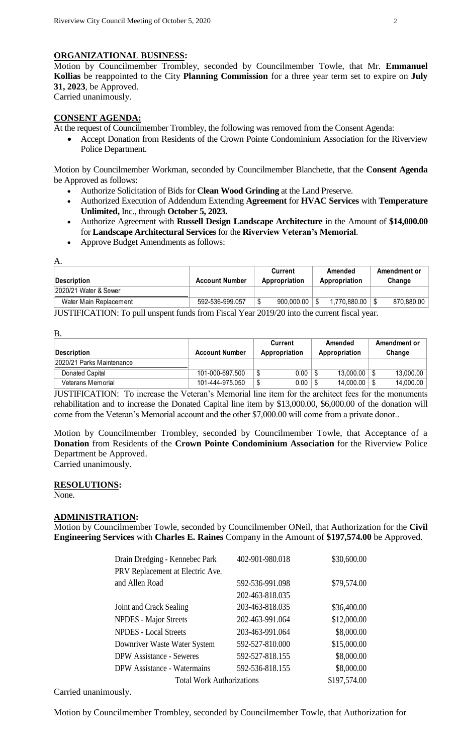# **ORGANIZATIONAL BUSINESS:**

Motion by Councilmember Trombley, seconded by Councilmember Towle, that Mr. **Emmanuel Kollias** be reappointed to the City **Planning Commission** for a three year term set to expire on **July 31, 2023**, be Approved. Carried unanimously.

# **CONSENT AGENDA:**

At the request of Councilmember Trombley, the following was removed from the Consent Agenda:

 Accept Donation from Residents of the Crown Pointe Condominium Association for the Riverview Police Department.

Motion by Councilmember Workman, seconded by Councilmember Blanchette, that the **Consent Agenda**  be Approved as follows:

- Authorize Solicitation of Bids for **Clean Wood Grinding** at the Land Preserve.
- Authorized Execution of Addendum Extending **Agreement** for **HVAC Services** with **Temperature Unlimited,** Inc., through **October 5, 2023.**
- Authorize Agreement with **Russell Design Landscape Architecture** in the Amount of **\$14,000.00** for **Landscape Architectural Services** for the **Riverview Veteran's Memorial**.
- Approve Budget Amendments as follows:

| A.                                                                                                                                                                                                                                                                                                                                 |                       |                          |   |                          |  |                        |
|------------------------------------------------------------------------------------------------------------------------------------------------------------------------------------------------------------------------------------------------------------------------------------------------------------------------------------|-----------------------|--------------------------|---|--------------------------|--|------------------------|
| Description                                                                                                                                                                                                                                                                                                                        | <b>Account Number</b> | Current<br>Appropriation |   | Amended<br>Appropriation |  | Amendment or<br>Change |
| 2020/21 Water & Sewer                                                                                                                                                                                                                                                                                                              |                       |                          |   |                          |  |                        |
| Water Main Replacement                                                                                                                                                                                                                                                                                                             | 592-536-999.057       | 900,000.00               | S | 1,770,880.00             |  | 870,880.00             |
| $\mathbf{H}$ $\mathbf{H}$ $\mathbf{H}$ $\mathbf{H}$ $\mathbf{H}$ $\mathbf{H}$ $\mathbf{H}$ $\mathbf{H}$ $\mathbf{H}$ $\mathbf{H}$ $\mathbf{H}$ $\mathbf{H}$ $\mathbf{H}$ $\mathbf{H}$ $\mathbf{H}$ $\mathbf{H}$ $\mathbf{H}$ $\mathbf{H}$ $\mathbf{H}$ $\mathbf{H}$ $\mathbf{H}$ $\mathbf{H}$ $\mathbf{H}$ $\mathbf{H}$ $\mathbf{$ |                       |                          |   |                          |  |                        |

JUSTIFICATION:To pull unspent funds from Fiscal Year 2019/20 into the current fiscal year.

B.

|                           |                       |        | Current       | Amended       | Amendment or |
|---------------------------|-----------------------|--------|---------------|---------------|--------------|
| Description               | <b>Account Number</b> |        | Appropriation | Appropriation | Change       |
| 2020/21 Parks Maintenance |                       |        |               |               |              |
| Donated Capital           | 101-000-697.500       |        | 0.00          | 13.000.00     | 13,000.00    |
| Veterans Memorial         | 101-444-975.050       | ጦ<br>D | 0.00          | 14.000.00     | 14,000.00    |

JUSTIFICATION: To increase the Veteran's Memorial line item for the architect fees for the monuments rehabilitation and to increase the Donated Capital line item by \$13,000.00, \$6,000.00 of the donation will come from the Veteran's Memorial account and the other \$7,000.00 will come from a private donor..

Motion by Councilmember Trombley, seconded by Councilmember Towle, that Acceptance of a **Donation** from Residents of the **Crown Pointe Condominium Association** for the Riverview Police Department be Approved.

Carried unanimously.

# **RESOLUTIONS:**

None.

#### **ADMINISTRATION:**

Motion by Councilmember Towle, seconded by Councilmember ONeil, that Authorization for the **Civil Engineering Services** with **Charles E. Raines** Company in the Amount of **\$197,574.00** be Approved.

| Drain Dredging - Kennebec Park     | 402-901-980.018 | \$30,600.00 |
|------------------------------------|-----------------|-------------|
| PRV Replacement at Electric Ave.   |                 |             |
| and Allen Road                     | 592-536-991.098 | \$79,574.00 |
|                                    | 202-463-818.035 |             |
| Joint and Crack Sealing            | 203-463-818.035 | \$36,400.00 |
| <b>NPDES</b> - Major Streets       | 202-463-991.064 | \$12,000.00 |
| <b>NPDES</b> - Local Streets       | 203-463-991.064 | \$8,000.00  |
| Downriver Waste Water System       | 592-527-810.000 | \$15,000.00 |
| <b>DPW</b> Assistance - Seweres    | 592-527-818.155 | \$8,000.00  |
| <b>DPW</b> Assistance - Watermains | 592-536-818.155 | \$8,000.00  |
| <b>Total Work Authorizations</b>   | \$197,574.00    |             |

Carried unanimously.

Motion by Councilmember Trombley, seconded by Councilmember Towle, that Authorization for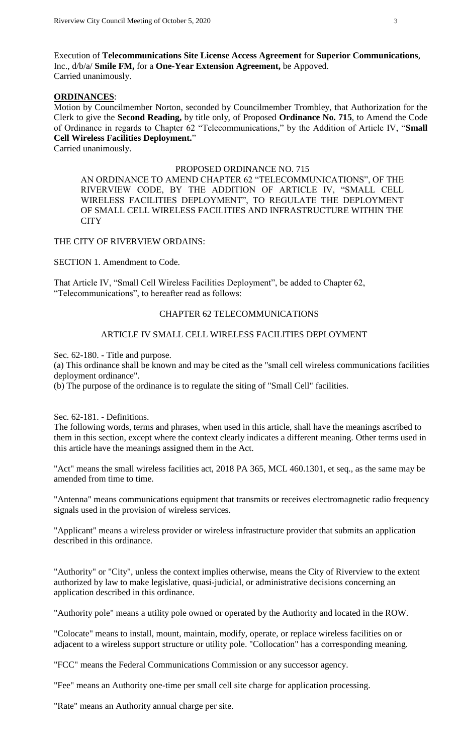Execution of **Telecommunications Site License Access Agreement** for **Superior Communications**, Inc., d/b/a/ **Smile FM,** for a **One-Year Extension Agreement,** be Appoved. Carried unanimously.

## **ORDINANCES**:

Motion by Councilmember Norton, seconded by Councilmember Trombley, that Authorization for the Clerk to give the **Second Reading,** by title only, of Proposed **Ordinance No. 715**, to Amend the Code of Ordinance in regards to Chapter 62 "Telecommunications," by the Addition of Article IV, "**Small Cell Wireless Facilities Deployment.**"

Carried unanimously.

#### PROPOSED ORDINANCE NO. 715

AN ORDINANCE TO AMEND CHAPTER 62 "TELECOMMUNICATIONS", OF THE RIVERVIEW CODE, BY THE ADDITION OF ARTICLE IV, "SMALL CELL WIRELESS FACILITIES DEPLOYMENT", TO REGULATE THE DEPLOYMENT OF SMALL CELL WIRELESS FACILITIES AND INFRASTRUCTURE WITHIN THE **CITY** 

THE CITY OF RIVERVIEW ORDAINS:

SECTION 1. Amendment to Code.

That Article IV, "Small Cell Wireless Facilities Deployment", be added to Chapter 62, "Telecommunications", to hereafter read as follows:

## CHAPTER 62 TELECOMMUNICATIONS

## ARTICLE IV SMALL CELL WIRELESS FACILITIES DEPLOYMENT

Sec. 62-180. - Title and purpose.

(a) This ordinance shall be known and may be cited as the "small cell wireless communications facilities deployment ordinance".

(b) The purpose of the ordinance is to regulate the siting of "Small Cell" facilities.

Sec. 62-181. - Definitions.

The following words, terms and phrases, when used in this article, shall have the meanings ascribed to them in this section, except where the context clearly indicates a different meaning. Other terms used in this article have the meanings assigned them in the Act.

"Act" means the small wireless facilities act, 2018 PA 365, MCL 460.1301, et seq., as the same may be amended from time to time.

"Antenna" means communications equipment that transmits or receives electromagnetic radio frequency signals used in the provision of wireless services.

"Applicant" means a wireless provider or wireless infrastructure provider that submits an application described in this ordinance.

"Authority" or "City", unless the context implies otherwise, means the City of Riverview to the extent authorized by law to make legislative, quasi-judicial, or administrative decisions concerning an application described in this ordinance.

"Authority pole" means a utility pole owned or operated by the Authority and located in the ROW.

"Colocate" means to install, mount, maintain, modify, operate, or replace wireless facilities on or adjacent to a wireless support structure or utility pole. "Collocation" has a corresponding meaning.

"FCC" means the Federal Communications Commission or any successor agency.

"Fee" means an Authority one-time per small cell site charge for application processing.

"Rate" means an Authority annual charge per site.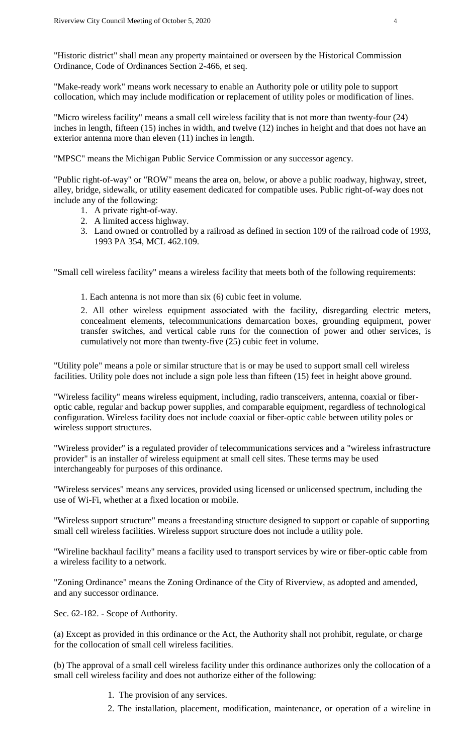"Historic district" shall mean any property maintained or overseen by the Historical Commission Ordinance, Code of Ordinances Section 2-466, et seq.

"Make-ready work" means work necessary to enable an Authority pole or utility pole to support collocation, which may include modification or replacement of utility poles or modification of lines.

"Micro wireless facility" means a small cell wireless facility that is not more than twenty-four (24) inches in length, fifteen (15) inches in width, and twelve (12) inches in height and that does not have an exterior antenna more than eleven (11) inches in length.

"MPSC" means the Michigan Public Service Commission or any successor agency.

"Public right-of-way" or "ROW" means the area on, below, or above a public roadway, highway, street, alley, bridge, sidewalk, or utility easement dedicated for compatible uses. Public right-of-way does not include any of the following:

- 1. A private right-of-way.
- 2. A limited access highway.
- 3. Land owned or controlled by a railroad as defined in section 109 of the railroad code of 1993, 1993 PA 354, MCL 462.109.

"Small cell wireless facility" means a wireless facility that meets both of the following requirements:

1. Each antenna is not more than six (6) cubic feet in volume.

2. All other wireless equipment associated with the facility, disregarding electric meters, concealment elements, telecommunications demarcation boxes, grounding equipment, power transfer switches, and vertical cable runs for the connection of power and other services, is cumulatively not more than twenty-five (25) cubic feet in volume.

"Utility pole" means a pole or similar structure that is or may be used to support small cell wireless facilities. Utility pole does not include a sign pole less than fifteen (15) feet in height above ground.

"Wireless facility" means wireless equipment, including, radio transceivers, antenna, coaxial or fiberoptic cable, regular and backup power supplies, and comparable equipment, regardless of technological configuration. Wireless facility does not include coaxial or fiber-optic cable between utility poles or wireless support structures.

"Wireless provider" is a regulated provider of telecommunications services and a "wireless infrastructure provider" is an installer of wireless equipment at small cell sites. These terms may be used interchangeably for purposes of this ordinance.

"Wireless services" means any services, provided using licensed or unlicensed spectrum, including the use of Wi-Fi, whether at a fixed location or mobile.

"Wireless support structure" means a freestanding structure designed to support or capable of supporting small cell wireless facilities. Wireless support structure does not include a utility pole.

"Wireline backhaul facility" means a facility used to transport services by wire or fiber-optic cable from a wireless facility to a network.

"Zoning Ordinance" means the Zoning Ordinance of the City of Riverview, as adopted and amended, and any successor ordinance.

Sec. 62-182. - Scope of Authority.

(a) Except as provided in this ordinance or the Act, the Authority shall not prohibit, regulate, or charge for the collocation of small cell wireless facilities.

(b) The approval of a small cell wireless facility under this ordinance authorizes only the collocation of a small cell wireless facility and does not authorize either of the following:

- 1. The provision of any services.
- 2. The installation, placement, modification, maintenance, or operation of a wireline in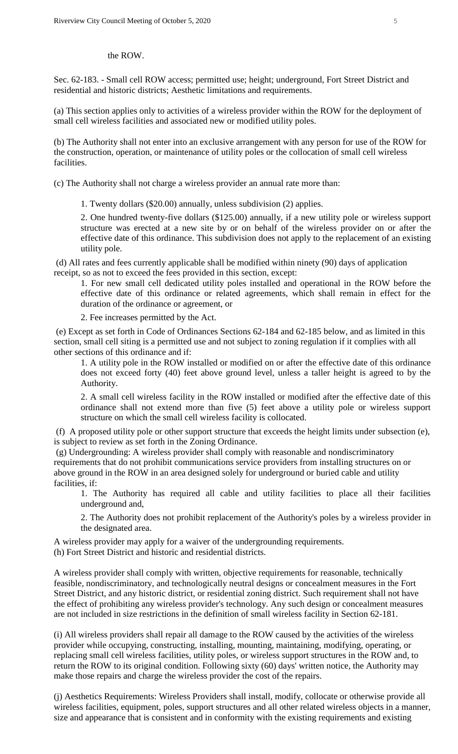#### the ROW.

Sec. 62-183. - Small cell ROW access; permitted use; height; underground, Fort Street District and residential and historic districts; Aesthetic limitations and requirements.

(a) This section applies only to activities of a wireless provider within the ROW for the deployment of small cell wireless facilities and associated new or modified utility poles.

(b) The Authority shall not enter into an exclusive arrangement with any person for use of the ROW for the construction, operation, or maintenance of utility poles or the collocation of small cell wireless facilities.

(c) The Authority shall not charge a wireless provider an annual rate more than:

1. Twenty dollars (\$20.00) annually, unless subdivision (2) applies.

2. One hundred twenty-five dollars (\$125.00) annually, if a new utility pole or wireless support structure was erected at a new site by or on behalf of the wireless provider on or after the effective date of this ordinance. This subdivision does not apply to the replacement of an existing utility pole.

(d) All rates and fees currently applicable shall be modified within ninety (90) days of application receipt, so as not to exceed the fees provided in this section, except:

1. For new small cell dedicated utility poles installed and operational in the ROW before the effective date of this ordinance or related agreements, which shall remain in effect for the duration of the ordinance or agreement, or

2. Fee increases permitted by the Act.

(e) Except as set forth in Code of Ordinances Sections 62-184 and 62-185 below, and as limited in this section, small cell siting is a permitted use and not subject to zoning regulation if it complies with all other sections of this ordinance and if:

1. A utility pole in the ROW installed or modified on or after the effective date of this ordinance does not exceed forty (40) feet above ground level, unless a taller height is agreed to by the Authority.

2. A small cell wireless facility in the ROW installed or modified after the effective date of this ordinance shall not extend more than five (5) feet above a utility pole or wireless support structure on which the small cell wireless facility is collocated.

(f) A proposed utility pole or other support structure that exceeds the height limits under subsection (e), is subject to review as set forth in the Zoning Ordinance.

(g) Undergrounding: A wireless provider shall comply with reasonable and nondiscriminatory requirements that do not prohibit communications service providers from installing structures on or above ground in the ROW in an area designed solely for underground or buried cable and utility facilities, if:

1. The Authority has required all cable and utility facilities to place all their facilities underground and,

2. The Authority does not prohibit replacement of the Authority's poles by a wireless provider in the designated area.

A wireless provider may apply for a waiver of the undergrounding requirements. (h) Fort Street District and historic and residential districts.

A wireless provider shall comply with written, objective requirements for reasonable, technically feasible, nondiscriminatory, and technologically neutral designs or concealment measures in the Fort Street District, and any historic district, or residential zoning district. Such requirement shall not have the effect of prohibiting any wireless provider's technology. Any such design or concealment measures are not included in size restrictions in the definition of small wireless facility in Section 62-181.

(i) All wireless providers shall repair all damage to the ROW caused by the activities of the wireless provider while occupying, constructing, installing, mounting, maintaining, modifying, operating, or replacing small cell wireless facilities, utility poles, or wireless support structures in the ROW and, to return the ROW to its original condition. Following sixty (60) days' written notice, the Authority may make those repairs and charge the wireless provider the cost of the repairs.

(j) Aesthetics Requirements: Wireless Providers shall install, modify, collocate or otherwise provide all wireless facilities, equipment, poles, support structures and all other related wireless objects in a manner, size and appearance that is consistent and in conformity with the existing requirements and existing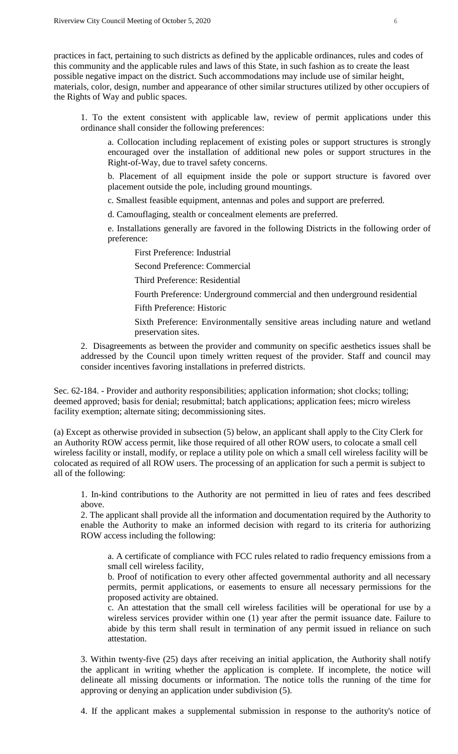practices in fact, pertaining to such districts as defined by the applicable ordinances, rules and codes of this community and the applicable rules and laws of this State, in such fashion as to create the least possible negative impact on the district. Such accommodations may include use of similar height, materials, color, design, number and appearance of other similar structures utilized by other occupiers of the Rights of Way and public spaces.

1. To the extent consistent with applicable law, review of permit applications under this ordinance shall consider the following preferences:

a. Collocation including replacement of existing poles or support structures is strongly encouraged over the installation of additional new poles or support structures in the Right-of-Way, due to travel safety concerns.

b. Placement of all equipment inside the pole or support structure is favored over placement outside the pole, including ground mountings.

c. Smallest feasible equipment, antennas and poles and support are preferred.

d. Camouflaging, stealth or concealment elements are preferred.

e. Installations generally are favored in the following Districts in the following order of preference:

First Preference: Industrial

Second Preference: Commercial

Third Preference: Residential

Fourth Preference: Underground commercial and then underground residential Fifth Preference: Historic

Sixth Preference: Environmentally sensitive areas including nature and wetland preservation sites.

2. Disagreements as between the provider and community on specific aesthetics issues shall be addressed by the Council upon timely written request of the provider. Staff and council may consider incentives favoring installations in preferred districts.

Sec. 62-184. - Provider and authority responsibilities; application information; shot clocks; tolling; deemed approved; basis for denial; resubmittal; batch applications; application fees; micro wireless facility exemption; alternate siting; decommissioning sites.

(a) Except as otherwise provided in subsection (5) below, an applicant shall apply to the City Clerk for an Authority ROW access permit, like those required of all other ROW users, to colocate a small cell wireless facility or install, modify, or replace a utility pole on which a small cell wireless facility will be colocated as required of all ROW users. The processing of an application for such a permit is subject to all of the following:

1. In-kind contributions to the Authority are not permitted in lieu of rates and fees described above.

2. The applicant shall provide all the information and documentation required by the Authority to enable the Authority to make an informed decision with regard to its criteria for authorizing ROW access including the following:

a. A certificate of compliance with FCC rules related to radio frequency emissions from a small cell wireless facility,

b. Proof of notification to every other affected governmental authority and all necessary permits, permit applications, or easements to ensure all necessary permissions for the proposed activity are obtained.

c. An attestation that the small cell wireless facilities will be operational for use by a wireless services provider within one (1) year after the permit issuance date. Failure to abide by this term shall result in termination of any permit issued in reliance on such attestation.

3. Within twenty-five (25) days after receiving an initial application, the Authority shall notify the applicant in writing whether the application is complete. If incomplete, the notice will delineate all missing documents or information. The notice tolls the running of the time for approving or denying an application under subdivision (5).

4. If the applicant makes a supplemental submission in response to the authority's notice of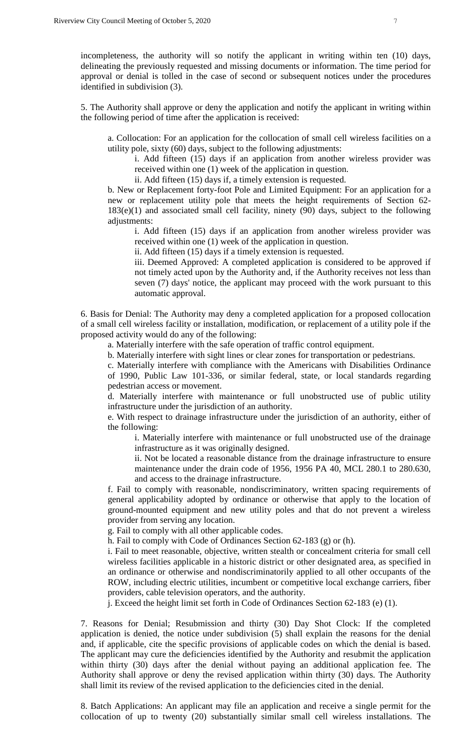incompleteness, the authority will so notify the applicant in writing within ten (10) days, delineating the previously requested and missing documents or information. The time period for approval or denial is tolled in the case of second or subsequent notices under the procedures identified in subdivision (3).

5. The Authority shall approve or deny the application and notify the applicant in writing within the following period of time after the application is received:

a. Collocation: For an application for the collocation of small cell wireless facilities on a utility pole, sixty (60) days, subject to the following adjustments:

i. Add fifteen (15) days if an application from another wireless provider was received within one (1) week of the application in question.

ii. Add fifteen (15) days if, a timely extension is requested.

b. New or Replacement forty-foot Pole and Limited Equipment: For an application for a new or replacement utility pole that meets the height requirements of Section 62- 183(e)(1) and associated small cell facility, ninety (90) days, subject to the following adjustments:

i. Add fifteen (15) days if an application from another wireless provider was received within one (1) week of the application in question.

ii. Add fifteen (15) days if a timely extension is requested.

iii. Deemed Approved: A completed application is considered to be approved if not timely acted upon by the Authority and, if the Authority receives not less than seven (7) days' notice, the applicant may proceed with the work pursuant to this automatic approval.

6. Basis for Denial: The Authority may deny a completed application for a proposed collocation of a small cell wireless facility or installation, modification, or replacement of a utility pole if the proposed activity would do any of the following:

a. Materially interfere with the safe operation of traffic control equipment.

b. Materially interfere with sight lines or clear zones for transportation or pedestrians.

c. Materially interfere with compliance with the Americans with Disabilities Ordinance of 1990, Public Law 101-336, or similar federal, state, or local standards regarding pedestrian access or movement.

d. Materially interfere with maintenance or full unobstructed use of public utility infrastructure under the jurisdiction of an authority.

e. With respect to drainage infrastructure under the jurisdiction of an authority, either of the following:

i. Materially interfere with maintenance or full unobstructed use of the drainage infrastructure as it was originally designed.

ii. Not be located a reasonable distance from the drainage infrastructure to ensure maintenance under the drain code of 1956, 1956 PA 40, MCL 280.1 to 280.630, and access to the drainage infrastructure.

f. Fail to comply with reasonable, nondiscriminatory, written spacing requirements of general applicability adopted by ordinance or otherwise that apply to the location of ground-mounted equipment and new utility poles and that do not prevent a wireless provider from serving any location.

g. Fail to comply with all other applicable codes.

h. Fail to comply with Code of Ordinances Section 62-183 (g) or (h).

i. Fail to meet reasonable, objective, written stealth or concealment criteria for small cell wireless facilities applicable in a historic district or other designated area, as specified in an ordinance or otherwise and nondiscriminatorily applied to all other occupants of the ROW, including electric utilities, incumbent or competitive local exchange carriers, fiber providers, cable television operators, and the authority.

j. Exceed the height limit set forth in Code of Ordinances Section 62-183 (e) (1).

7. Reasons for Denial; Resubmission and thirty (30) Day Shot Clock: If the completed application is denied, the notice under subdivision (5) shall explain the reasons for the denial and, if applicable, cite the specific provisions of applicable codes on which the denial is based. The applicant may cure the deficiencies identified by the Authority and resubmit the application within thirty (30) days after the denial without paying an additional application fee. The Authority shall approve or deny the revised application within thirty (30) days. The Authority shall limit its review of the revised application to the deficiencies cited in the denial.

8. Batch Applications: An applicant may file an application and receive a single permit for the collocation of up to twenty (20) substantially similar small cell wireless installations. The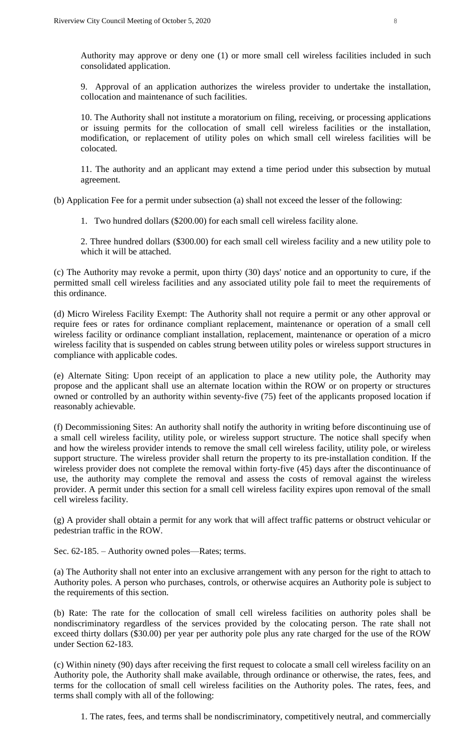Authority may approve or deny one (1) or more small cell wireless facilities included in such consolidated application.

9. Approval of an application authorizes the wireless provider to undertake the installation, collocation and maintenance of such facilities.

10. The Authority shall not institute a moratorium on filing, receiving, or processing applications or issuing permits for the collocation of small cell wireless facilities or the installation, modification, or replacement of utility poles on which small cell wireless facilities will be colocated.

11. The authority and an applicant may extend a time period under this subsection by mutual agreement.

(b) Application Fee for a permit under subsection (a) shall not exceed the lesser of the following:

1. Two hundred dollars (\$200.00) for each small cell wireless facility alone.

2. Three hundred dollars (\$300.00) for each small cell wireless facility and a new utility pole to which it will be attached.

(c) The Authority may revoke a permit, upon thirty (30) days' notice and an opportunity to cure, if the permitted small cell wireless facilities and any associated utility pole fail to meet the requirements of this ordinance.

(d) Micro Wireless Facility Exempt: The Authority shall not require a permit or any other approval or require fees or rates for ordinance compliant replacement, maintenance or operation of a small cell wireless facility or ordinance compliant installation, replacement, maintenance or operation of a micro wireless facility that is suspended on cables strung between utility poles or wireless support structures in compliance with applicable codes.

(e) Alternate Siting: Upon receipt of an application to place a new utility pole, the Authority may propose and the applicant shall use an alternate location within the ROW or on property or structures owned or controlled by an authority within seventy-five (75) feet of the applicants proposed location if reasonably achievable.

(f) Decommissioning Sites: An authority shall notify the authority in writing before discontinuing use of a small cell wireless facility, utility pole, or wireless support structure. The notice shall specify when and how the wireless provider intends to remove the small cell wireless facility, utility pole, or wireless support structure. The wireless provider shall return the property to its pre-installation condition. If the wireless provider does not complete the removal within forty-five (45) days after the discontinuance of use, the authority may complete the removal and assess the costs of removal against the wireless provider. A permit under this section for a small cell wireless facility expires upon removal of the small cell wireless facility.

(g) A provider shall obtain a permit for any work that will affect traffic patterns or obstruct vehicular or pedestrian traffic in the ROW.

Sec. 62-185. – Authority owned poles—Rates; terms.

(a) The Authority shall not enter into an exclusive arrangement with any person for the right to attach to Authority poles. A person who purchases, controls, or otherwise acquires an Authority pole is subject to the requirements of this section.

(b) Rate: The rate for the collocation of small cell wireless facilities on authority poles shall be nondiscriminatory regardless of the services provided by the colocating person. The rate shall not exceed thirty dollars (\$30.00) per year per authority pole plus any rate charged for the use of the ROW under Section 62-183.

(c) Within ninety (90) days after receiving the first request to colocate a small cell wireless facility on an Authority pole, the Authority shall make available, through ordinance or otherwise, the rates, fees, and terms for the collocation of small cell wireless facilities on the Authority poles. The rates, fees, and terms shall comply with all of the following:

1. The rates, fees, and terms shall be nondiscriminatory, competitively neutral, and commercially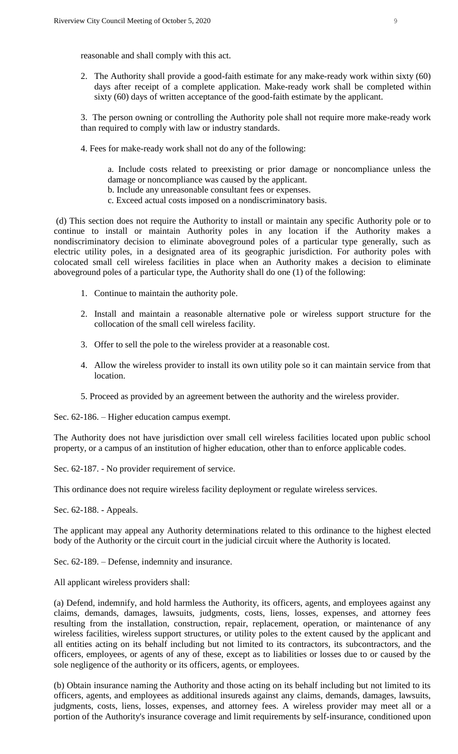reasonable and shall comply with this act.

2. The Authority shall provide a good-faith estimate for any make-ready work within sixty (60) days after receipt of a complete application. Make-ready work shall be completed within sixty (60) days of written acceptance of the good-faith estimate by the applicant.

3. The person owning or controlling the Authority pole shall not require more make-ready work than required to comply with law or industry standards.

4. Fees for make-ready work shall not do any of the following:

a. Include costs related to preexisting or prior damage or noncompliance unless the damage or noncompliance was caused by the applicant.

- b. Include any unreasonable consultant fees or expenses.
- c. Exceed actual costs imposed on a nondiscriminatory basis.

(d) This section does not require the Authority to install or maintain any specific Authority pole or to continue to install or maintain Authority poles in any location if the Authority makes a nondiscriminatory decision to eliminate aboveground poles of a particular type generally, such as electric utility poles, in a designated area of its geographic jurisdiction. For authority poles with colocated small cell wireless facilities in place when an Authority makes a decision to eliminate aboveground poles of a particular type, the Authority shall do one (1) of the following:

- 1. Continue to maintain the authority pole.
- 2. Install and maintain a reasonable alternative pole or wireless support structure for the collocation of the small cell wireless facility.
- 3. Offer to sell the pole to the wireless provider at a reasonable cost.
- 4. Allow the wireless provider to install its own utility pole so it can maintain service from that location.
- 5. Proceed as provided by an agreement between the authority and the wireless provider.

Sec. 62-186. – Higher education campus exempt.

The Authority does not have jurisdiction over small cell wireless facilities located upon public school property, or a campus of an institution of higher education, other than to enforce applicable codes.

Sec. 62-187. - No provider requirement of service.

This ordinance does not require wireless facility deployment or regulate wireless services.

Sec. 62-188. - Appeals.

The applicant may appeal any Authority determinations related to this ordinance to the highest elected body of the Authority or the circuit court in the judicial circuit where the Authority is located.

Sec. 62-189. – Defense, indemnity and insurance.

All applicant wireless providers shall:

(a) Defend, indemnify, and hold harmless the Authority, its officers, agents, and employees against any claims, demands, damages, lawsuits, judgments, costs, liens, losses, expenses, and attorney fees resulting from the installation, construction, repair, replacement, operation, or maintenance of any wireless facilities, wireless support structures, or utility poles to the extent caused by the applicant and all entities acting on its behalf including but not limited to its contractors, its subcontractors, and the officers, employees, or agents of any of these, except as to liabilities or losses due to or caused by the sole negligence of the authority or its officers, agents, or employees.

(b) Obtain insurance naming the Authority and those acting on its behalf including but not limited to its officers, agents, and employees as additional insureds against any claims, demands, damages, lawsuits, judgments, costs, liens, losses, expenses, and attorney fees. A wireless provider may meet all or a portion of the Authority's insurance coverage and limit requirements by self-insurance, conditioned upon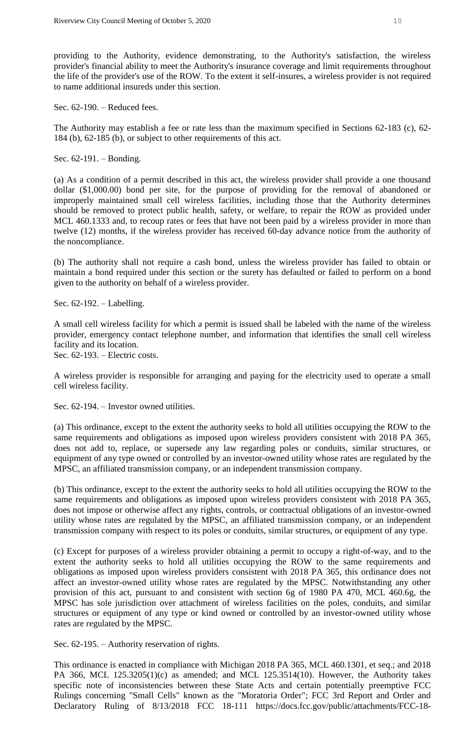providing to the Authority, evidence demonstrating, to the Authority's satisfaction, the wireless provider's financial ability to meet the Authority's insurance coverage and limit requirements throughout the life of the provider's use of the ROW. To the extent it self-insures, a wireless provider is not required to name additional insureds under this section.

Sec. 62-190. – Reduced fees.

The Authority may establish a fee or rate less than the maximum specified in Sections 62-183 (c), 62- 184 (b), 62-185 (b), or subject to other requirements of this act.

Sec. 62-191. – Bonding.

(a) As a condition of a permit described in this act, the wireless provider shall provide a one thousand dollar (\$1,000.00) bond per site, for the purpose of providing for the removal of abandoned or improperly maintained small cell wireless facilities, including those that the Authority determines should be removed to protect public health, safety, or welfare, to repair the ROW as provided under MCL 460.1333 and, to recoup rates or fees that have not been paid by a wireless provider in more than twelve (12) months, if the wireless provider has received 60-day advance notice from the authority of the noncompliance.

(b) The authority shall not require a cash bond, unless the wireless provider has failed to obtain or maintain a bond required under this section or the surety has defaulted or failed to perform on a bond given to the authority on behalf of a wireless provider.

Sec. 62-192. – Labelling.

A small cell wireless facility for which a permit is issued shall be labeled with the name of the wireless provider, emergency contact telephone number, and information that identifies the small cell wireless facility and its location.

Sec. 62-193. – Electric costs.

A wireless provider is responsible for arranging and paying for the electricity used to operate a small cell wireless facility.

Sec. 62-194. – Investor owned utilities.

(a) This ordinance, except to the extent the authority seeks to hold all utilities occupying the ROW to the same requirements and obligations as imposed upon wireless providers consistent with 2018 PA 365, does not add to, replace, or supersede any law regarding poles or conduits, similar structures, or equipment of any type owned or controlled by an investor-owned utility whose rates are regulated by the MPSC, an affiliated transmission company, or an independent transmission company.

(b) This ordinance, except to the extent the authority seeks to hold all utilities occupying the ROW to the same requirements and obligations as imposed upon wireless providers consistent with 2018 PA 365, does not impose or otherwise affect any rights, controls, or contractual obligations of an investor-owned utility whose rates are regulated by the MPSC, an affiliated transmission company, or an independent transmission company with respect to its poles or conduits, similar structures, or equipment of any type.

(c) Except for purposes of a wireless provider obtaining a permit to occupy a right-of-way, and to the extent the authority seeks to hold all utilities occupying the ROW to the same requirements and obligations as imposed upon wireless providers consistent with 2018 PA 365, this ordinance does not affect an investor-owned utility whose rates are regulated by the MPSC. Notwithstanding any other provision of this act, pursuant to and consistent with section 6g of 1980 PA 470, MCL 460.6g, the MPSC has sole jurisdiction over attachment of wireless facilities on the poles, conduits, and similar structures or equipment of any type or kind owned or controlled by an investor-owned utility whose rates are regulated by the MPSC.

Sec. 62-195. – Authority reservation of rights.

This ordinance is enacted in compliance with Michigan 2018 PA 365, MCL 460.1301, et seq.; and 2018 PA 366, MCL 125.3205(1)(c) as amended; and MCL 125.3514(10). However, the Authority takes specific note of inconsistencies between these State Acts and certain potentially preemptive FCC Rulings concerning "Small Cells" known as the "Moratoria Order"; FCC 3rd Report and Order and Declaratory Ruling of 8/13/2018 FCC 18-111 https://docs.fcc.gov/public/attachments/FCC-18-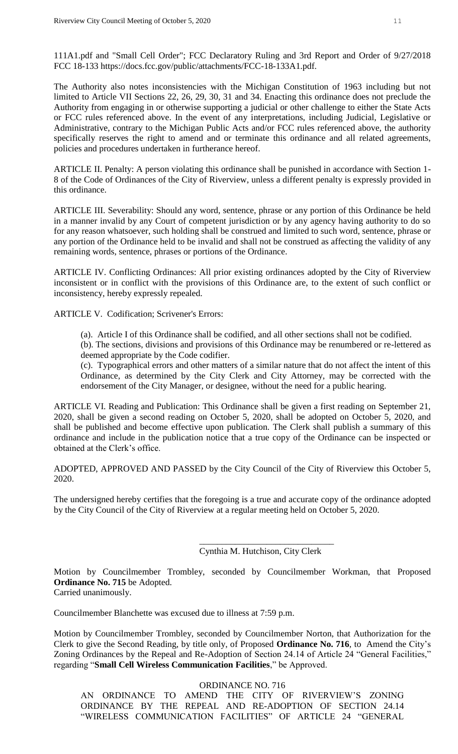111A1.pdf and "Small Cell Order"; FCC Declaratory Ruling and 3rd Report and Order of 9/27/2018 FCC 18-133 https://docs.fcc.gov/public/attachments/FCC-18-133A1.pdf.

The Authority also notes inconsistencies with the Michigan Constitution of 1963 including but not limited to Article VII Sections 22, 26, 29, 30, 31 and 34. Enacting this ordinance does not preclude the Authority from engaging in or otherwise supporting a judicial or other challenge to either the State Acts or FCC rules referenced above. In the event of any interpretations, including Judicial, Legislative or Administrative, contrary to the Michigan Public Acts and/or FCC rules referenced above, the authority specifically reserves the right to amend and or terminate this ordinance and all related agreements, policies and procedures undertaken in furtherance hereof.

ARTICLE II. Penalty: A person violating this ordinance shall be punished in accordance with Section 1- 8 of the Code of Ordinances of the City of Riverview, unless a different penalty is expressly provided in this ordinance.

ARTICLE III. Severability: Should any word, sentence, phrase or any portion of this Ordinance be held in a manner invalid by any Court of competent jurisdiction or by any agency having authority to do so for any reason whatsoever, such holding shall be construed and limited to such word, sentence, phrase or any portion of the Ordinance held to be invalid and shall not be construed as affecting the validity of any remaining words, sentence, phrases or portions of the Ordinance.

ARTICLE IV. Conflicting Ordinances: All prior existing ordinances adopted by the City of Riverview inconsistent or in conflict with the provisions of this Ordinance are, to the extent of such conflict or inconsistency, hereby expressly repealed.

ARTICLE V. Codification; Scrivener's Errors:

(a). Article I of this Ordinance shall be codified, and all other sections shall not be codified.

(b). The sections, divisions and provisions of this Ordinance may be renumbered or re-lettered as deemed appropriate by the Code codifier.

(c). Typographical errors and other matters of a similar nature that do not affect the intent of this Ordinance, as determined by the City Clerk and City Attorney, may be corrected with the endorsement of the City Manager, or designee, without the need for a public hearing.

ARTICLE VI. Reading and Publication: This Ordinance shall be given a first reading on September 21, 2020, shall be given a second reading on October 5, 2020, shall be adopted on October 5, 2020, and shall be published and become effective upon publication. The Clerk shall publish a summary of this ordinance and include in the publication notice that a true copy of the Ordinance can be inspected or obtained at the Clerk's office.

ADOPTED, APPROVED AND PASSED by the City Council of the City of Riverview this October 5, 2020.

The undersigned hereby certifies that the foregoing is a true and accurate copy of the ordinance adopted by the City Council of the City of Riverview at a regular meeting held on October 5, 2020.

> \_\_\_\_\_\_\_\_\_\_\_\_\_\_\_\_\_\_\_\_\_\_\_\_\_\_\_\_\_\_ Cynthia M. Hutchison, City Clerk

Motion by Councilmember Trombley, seconded by Councilmember Workman, that Proposed **Ordinance No. 715** be Adopted.

Carried unanimously.

Councilmember Blanchette was excused due to illness at 7:59 p.m.

Motion by Councilmember Trombley, seconded by Councilmember Norton, that Authorization for the Clerk to give the Second Reading, by title only, of Proposed **Ordinance No. 716**, to Amend the City's Zoning Ordinances by the Repeal and Re-Adoption of Section 24.14 of Article 24 "General Facilities," regarding "**Small Cell Wireless Communication Facilities**," be Approved.

ORDINANCE NO. 716

AN ORDINANCE TO AMEND THE CITY OF RIVERVIEW'S ZONING ORDINANCE BY THE REPEAL AND RE-ADOPTION OF SECTION 24.14 "WIRELESS COMMUNICATION FACILITIES" OF ARTICLE 24 "GENERAL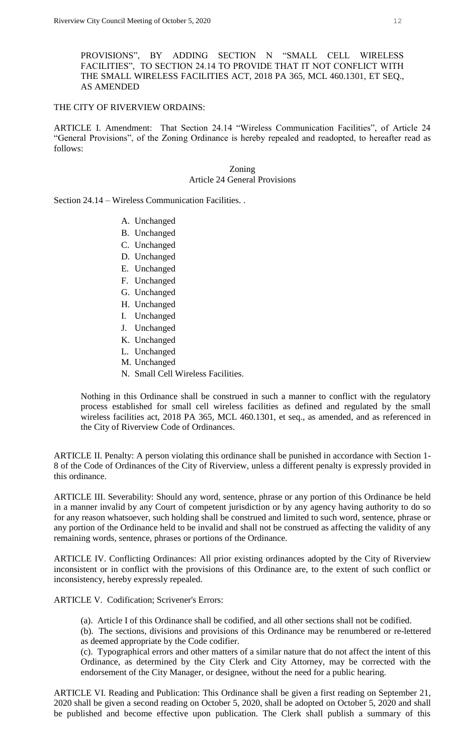PROVISIONS", BY ADDING SECTION N "SMALL CELL WIRELESS FACILITIES", TO SECTION 24.14 TO PROVIDE THAT IT NOT CONFLICT WITH THE SMALL WIRELESS FACILITIES ACT, 2018 PA 365, MCL 460.1301, ET SEQ., AS AMENDED

## THE CITY OF RIVERVIEW ORDAINS:

ARTICLE I. Amendment: That Section 24.14 "Wireless Communication Facilities", of Article 24 "General Provisions", of the Zoning Ordinance is hereby repealed and readopted, to hereafter read as follows:

> Zoning Article 24 General Provisions

Section 24.14 – Wireless Communication Facilities. .

- A. Unchanged
- B. Unchanged
- C. Unchanged
- D. Unchanged
- E. Unchanged
- F. Unchanged
- G. Unchanged
- H. Unchanged
- I. Unchanged
- J. Unchanged
- K. Unchanged
- L. Unchanged
- M. Unchanged
- N. Small Cell Wireless Facilities.

Nothing in this Ordinance shall be construed in such a manner to conflict with the regulatory process established for small cell wireless facilities as defined and regulated by the small wireless facilities act, 2018 PA 365, MCL 460.1301, et seq., as amended, and as referenced in the City of Riverview Code of Ordinances.

ARTICLE II. Penalty: A person violating this ordinance shall be punished in accordance with Section 1- 8 of the Code of Ordinances of the City of Riverview, unless a different penalty is expressly provided in this ordinance.

ARTICLE III. Severability: Should any word, sentence, phrase or any portion of this Ordinance be held in a manner invalid by any Court of competent jurisdiction or by any agency having authority to do so for any reason whatsoever, such holding shall be construed and limited to such word, sentence, phrase or any portion of the Ordinance held to be invalid and shall not be construed as affecting the validity of any remaining words, sentence, phrases or portions of the Ordinance.

ARTICLE IV. Conflicting Ordinances: All prior existing ordinances adopted by the City of Riverview inconsistent or in conflict with the provisions of this Ordinance are, to the extent of such conflict or inconsistency, hereby expressly repealed.

ARTICLE V. Codification; Scrivener's Errors:

(a). Article I of this Ordinance shall be codified, and all other sections shall not be codified.

(b). The sections, divisions and provisions of this Ordinance may be renumbered or re-lettered as deemed appropriate by the Code codifier.

(c). Typographical errors and other matters of a similar nature that do not affect the intent of this Ordinance, as determined by the City Clerk and City Attorney, may be corrected with the endorsement of the City Manager, or designee, without the need for a public hearing.

ARTICLE VI. Reading and Publication: This Ordinance shall be given a first reading on September 21, 2020 shall be given a second reading on October 5, 2020, shall be adopted on October 5, 2020 and shall be published and become effective upon publication. The Clerk shall publish a summary of this